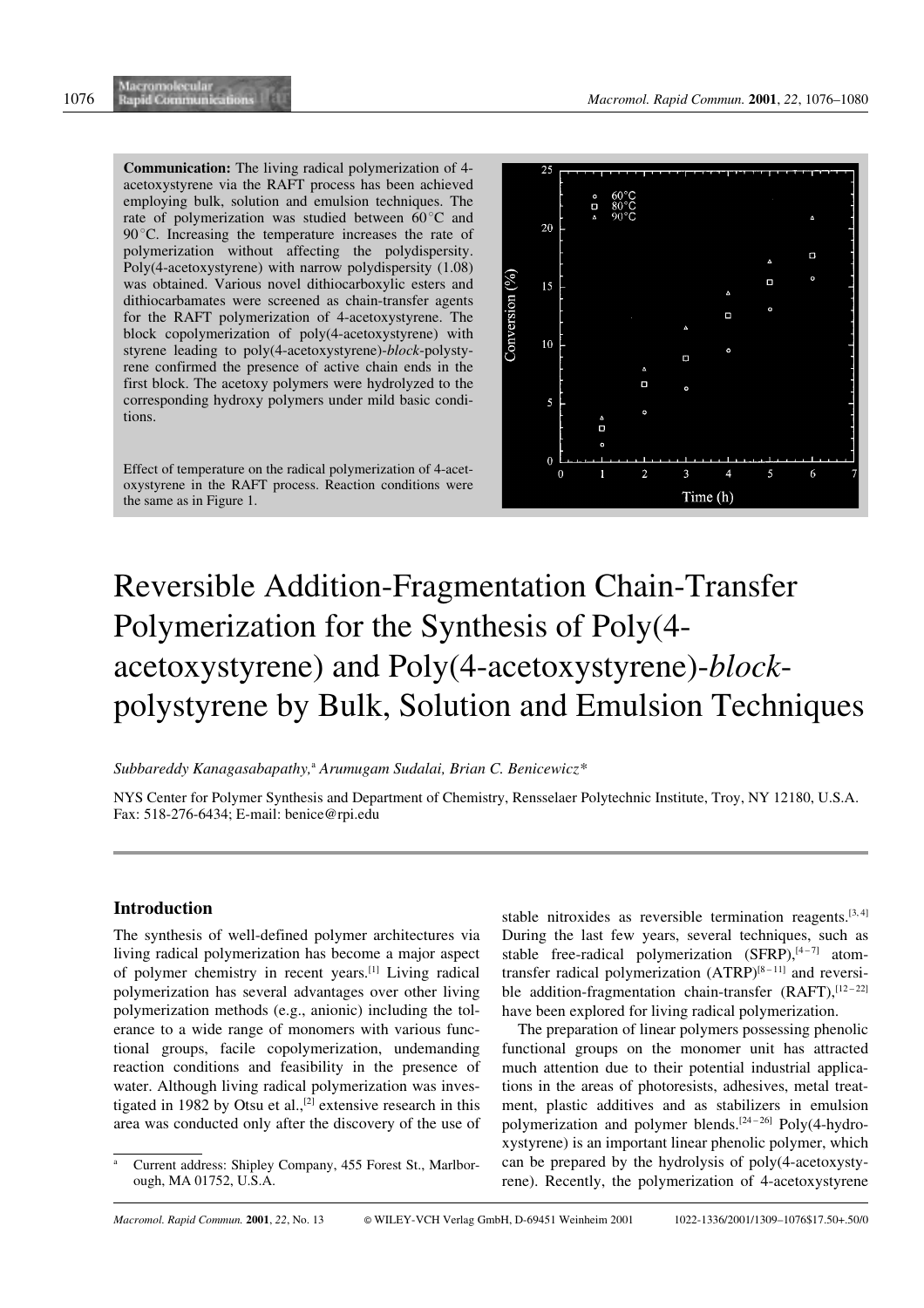Communication: The living radical polymerization of 4 acetoxystyrene via the RAFT process has been achieved employing bulk, solution and emulsion techniques. The rate of polymerization was studied between  $60^{\circ}$ C and  $90^{\circ}$ C. Increasing the temperature increases the rate of polymerization without affecting the polydispersity. Poly(4-acetoxystyrene) with narrow polydispersity (1.08) was obtained. Various novel dithiocarboxylic esters and dithiocarbamates were screened as chain-transfer agents for the RAFT polymerization of 4-acetoxystyrene. The block copolymerization of poly(4-acetoxystyrene) with styrene leading to poly(4-acetoxystyrene)-block-polystyrene confirmed the presence of active chain ends in the first block. The acetoxy polymers were hydrolyzed to the corresponding hydroxy polymers under mild basic conditions.

Effect of temperature on the radical polymerization of 4-acetoxystyrene in the RAFT process. Reaction conditions were the same as in Figure 1.



# Reversible Addition-Fragmentation Chain-Transfer Polymerization for the Synthesis of Poly(4 acetoxystyrene) and Poly(4-acetoxystyrene)-blockpolystyrene by Bulk, Solution and Emulsion Techniques

## Subbareddy Kanagasabapathy,<sup>a</sup> Arumugam Sudalai, Brian C. Benicewicz\*

NYS Center for Polymer Synthesis and Department of Chemistry, Rensselaer Polytechnic Institute, Troy, NY 12180, U.S.A. Fax: 518-276-6434; E-mail: benice@rpi.edu

# Introduction

The synthesis of well-defined polymer architectures via living radical polymerization has become a major aspect of polymer chemistry in recent years.[1] Living radical polymerization has several advantages over other living polymerization methods (e.g., anionic) including the tolerance to a wide range of monomers with various functional groups, facile copolymerization, undemanding reaction conditions and feasibility in the presence of water. Although living radical polymerization was investigated in 1982 by Otsu et al.,<sup>[2]</sup> extensive research in this area was conducted only after the discovery of the use of stable nitroxides as reversible termination reagents.<sup>[3,4]</sup> During the last few years, several techniques, such as stable free-radical polymerization  $(SFRP)$ ,  $[4-7]$  atomtransfer radical polymerization  $(ATRP)^{[8-11]}$  and reversible addition-fragmentation chain-transfer (RAFT), [12-22] have been explored for living radical polymerization.

The preparation of linear polymers possessing phenolic functional groups on the monomer unit has attracted much attention due to their potential industrial applications in the areas of photoresists, adhesives, metal treatment, plastic additives and as stabilizers in emulsion polymerization and polymer blends.<sup>[24-26]</sup> Poly(4-hydroxystyrene) is an important linear phenolic polymer, which can be prepared by the hydrolysis of poly(4-acetoxystyrene). Recently, the polymerization of 4-acetoxystyrene

Current address: Shipley Company, 455 Forest St., Marlborough, MA 01752, U.S.A.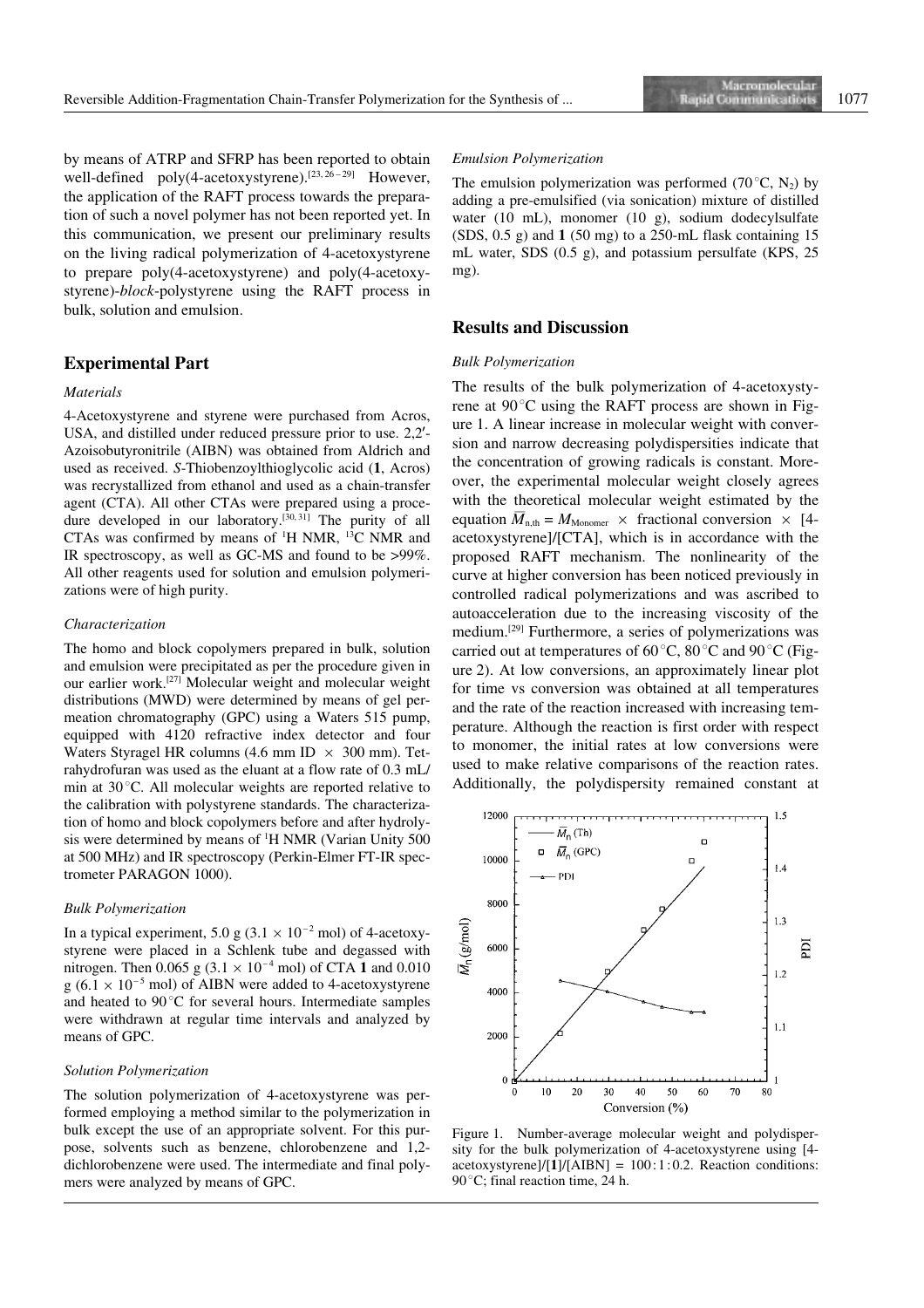by means of ATRP and SFRP has been reported to obtain well-defined poly(4-acetoxystyrene).<sup>[23, 26-29]</sup> However, the application of the RAFT process towards the preparation of such a novel polymer has not been reported yet. In this communication, we present our preliminary results on the living radical polymerization of 4-acetoxystyrene to prepare poly(4-acetoxystyrene) and poly(4-acetoxystyrene)-block-polystyrene using the RAFT process in bulk, solution and emulsion.

## Experimental Part

## Materials

4-Acetoxystyrene and styrene were purchased from Acros, USA, and distilled under reduced pressure prior to use. 2,2'-Azoisobutyronitrile (AIBN) was obtained from Aldrich and used as received. S-Thiobenzoylthioglycolic acid (1, Acros) was recrystallized from ethanol and used as a chain-transfer agent (CTA). All other CTAs were prepared using a procedure developed in our laboratory.<sup>[30, 31]</sup> The purity of all CTAs was confirmed by means of <sup>1</sup>H NMR, <sup>13</sup>C NMR and IR spectroscopy, as well as GC-MS and found to be  $>99\%$ . All other reagents used for solution and emulsion polymerizations were of high purity.

## Characterization

The homo and block copolymers prepared in bulk, solution and emulsion were precipitated as per the procedure given in our earlier work.[27] Molecular weight and molecular weight distributions (MWD) were determined by means of gel permeation chromatography (GPC) using a Waters 515 pump, equipped with 4120 refractive index detector and four Waters Styragel HR columns (4.6 mm ID  $\times$  300 mm). Tetrahydrofuran was used as the eluant at a flow rate of 0.3 mL/ min at  $30^{\circ}$ C. All molecular weights are reported relative to the calibration with polystyrene standards. The characterization of homo and block copolymers before and after hydrolysis were determined by means of <sup>1</sup>H NMR (Varian Unity 500 at 500 MHz) and IR spectroscopy (Perkin-Elmer FT-IR spectrometer PARAGON 1000).

#### Bulk Polymerization

In a typical experiment, 5.0 g  $(3.1 \times 10^{-2} \text{ mol})$  of 4-acetoxystyrene were placed in a Schlenk tube and degassed with nitrogen. Then 0.065 g  $(3.1 \times 10^{-4}$  mol) of CTA 1 and 0.010  $g (6.1 \times 10^{-5} \text{ mol})$  of AIBN were added to 4-acetoxystyrene and heated to  $90^{\circ}$ C for several hours. Intermediate samples were withdrawn at regular time intervals and analyzed by means of GPC.

#### Solution Polymerization

The solution polymerization of 4-acetoxystyrene was performed employing a method similar to the polymerization in bulk except the use of an appropriate solvent. For this purpose, solvents such as benzene, chlorobenzene and 1,2 dichlorobenzene were used. The intermediate and final polymers were analyzed by means of GPC.

#### Emulsion Polymerization

The emulsion polymerization was performed (70 $^{\circ}$ C, N<sub>2</sub>) by adding a pre-emulsified (via sonication) mixture of distilled water (10 mL), monomer (10 g), sodium dodecylsulfate  $(SDS, 0.5 \text{ g})$  and 1 (50 mg) to a 250-mL flask containing 15 mL water, SDS (0.5 g), and potassium persulfate (KPS, 25 mg).

## Results and Discussion

#### Bulk Polymerization

The results of the bulk polymerization of 4-acetoxystyrene at  $90^{\circ}$ C using the RAFT process are shown in Figure 1. A linear increase in molecular weight with conversion and narrow decreasing polydispersities indicate that the concentration of growing radicals is constant. Moreover, the experimental molecular weight closely agrees with the theoretical molecular weight estimated by the equation  $\overline{M}_{n,th} = M_{\text{Monomer}} \times$  fractional conversion  $\times$  [4acetoxystyrene]/[CTA], which is in accordance with the proposed RAFT mechanism. The nonlinearity of the curve at higher conversion has been noticed previously in controlled radical polymerizations and was ascribed to autoacceleration due to the increasing viscosity of the medium.[29] Furthermore, a series of polymerizations was carried out at temperatures of  $60^{\circ}$ C,  $80^{\circ}$ C and  $90^{\circ}$ C (Figure 2). At low conversions, an approximately linear plot for time vs conversion was obtained at all temperatures and the rate of the reaction increased with increasing temperature. Although the reaction is first order with respect to monomer, the initial rates at low conversions were used to make relative comparisons of the reaction rates. Additionally, the polydispersity remained constant at



Figure 1. Number-average molecular weight and polydispersity for the bulk polymerization of 4-acetoxystyrene using [4  $acetoxystyrene]/[1]/[AIBN] = 100:1:0.2$ . Reaction conditions: 90 $\degree$ C; final reaction time, 24 h.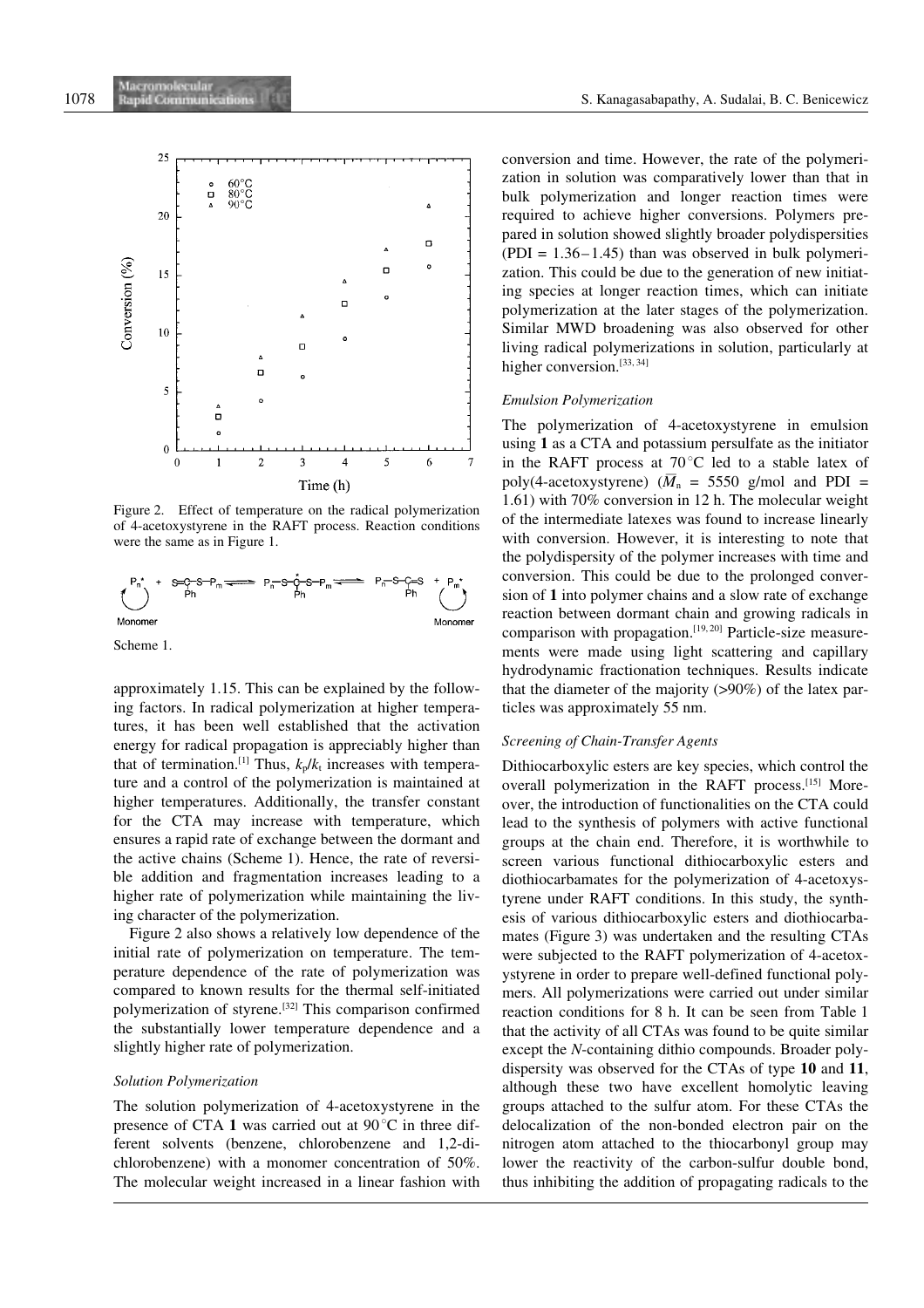

Figure 2. Effect of temperature on the radical polymerization of 4-acetoxystyrene in the RAFT process. Reaction conditions were the same as in Figure 1.



Scheme 1.

approximately 1.15. This can be explained by the following factors. In radical polymerization at higher temperatures, it has been well established that the activation energy for radical propagation is appreciably higher than that of termination.<sup>[1]</sup> Thus,  $k_p/k_i$  increases with temperature and a control of the polymerization is maintained at higher temperatures. Additionally, the transfer constant for the CTA may increase with temperature, which ensures a rapid rate of exchange between the dormant and the active chains (Scheme 1). Hence, the rate of reversible addition and fragmentation increases leading to a higher rate of polymerization while maintaining the living character of the polymerization.

Figure 2 also shows a relatively low dependence of the initial rate of polymerization on temperature. The temperature dependence of the rate of polymerization was compared to known results for the thermal self-initiated polymerization of styrene.[32] This comparison confirmed the substantially lower temperature dependence and a slightly higher rate of polymerization.

## Solution Polymerization

The solution polymerization of 4-acetoxystyrene in the presence of CTA 1 was carried out at  $90^{\circ}$ C in three different solvents (benzene, chlorobenzene and 1,2-dichlorobenzene) with a monomer concentration of 50%. The molecular weight increased in a linear fashion with conversion and time. However, the rate of the polymerization in solution was comparatively lower than that in bulk polymerization and longer reaction times were required to achieve higher conversions. Polymers prepared in solution showed slightly broader polydispersities  $( PDI = 1.36 - 1.45)$  than was observed in bulk polymerization. This could be due to the generation of new initiating species at longer reaction times, which can initiate polymerization at the later stages of the polymerization. Similar MWD broadening was also observed for other living radical polymerizations in solution, particularly at higher conversion.<sup>[33, 34]</sup>

#### Emulsion Polymerization

The polymerization of 4-acetoxystyrene in emulsion using 1 as a CTA and potassium persulfate as the initiator in the RAFT process at  $70^{\circ}$ C led to a stable latex of poly(4-acetoxystyrene)  $(\overline{M}_n = 5550 \text{ g/mol}$  and PDI = 1.61) with 70% conversion in 12 h. The molecular weight of the intermediate latexes was found to increase linearly with conversion. However, it is interesting to note that the polydispersity of the polymer increases with time and conversion. This could be due to the prolonged conversion of 1 into polymer chains and a slow rate of exchange reaction between dormant chain and growing radicals in comparison with propagation.<sup>[19, 20]</sup> Particle-size measurements were made using light scattering and capillary hydrodynamic fractionation techniques. Results indicate that the diameter of the majority  $(>90\%)$  of the latex particles was approximately 55 nm.

## Screening of Chain-Transfer Agents

Dithiocarboxylic esters are key species, which control the overall polymerization in the RAFT process.<sup>[15]</sup> Moreover, the introduction of functionalities on the CTA could lead to the synthesis of polymers with active functional groups at the chain end. Therefore, it is worthwhile to screen various functional dithiocarboxylic esters and diothiocarbamates for the polymerization of 4-acetoxystyrene under RAFT conditions. In this study, the synthesis of various dithiocarboxylic esters and diothiocarbamates (Figure 3) was undertaken and the resulting CTAs were subjected to the RAFT polymerization of 4-acetoxystyrene in order to prepare well-defined functional polymers. All polymerizations were carried out under similar reaction conditions for 8 h. It can be seen from Table 1 that the activity of all CTAs was found to be quite similar except the N-containing dithio compounds. Broader polydispersity was observed for the CTAs of type 10 and 11, although these two have excellent homolytic leaving groups attached to the sulfur atom. For these CTAs the delocalization of the non-bonded electron pair on the nitrogen atom attached to the thiocarbonyl group may lower the reactivity of the carbon-sulfur double bond, thus inhibiting the addition of propagating radicals to the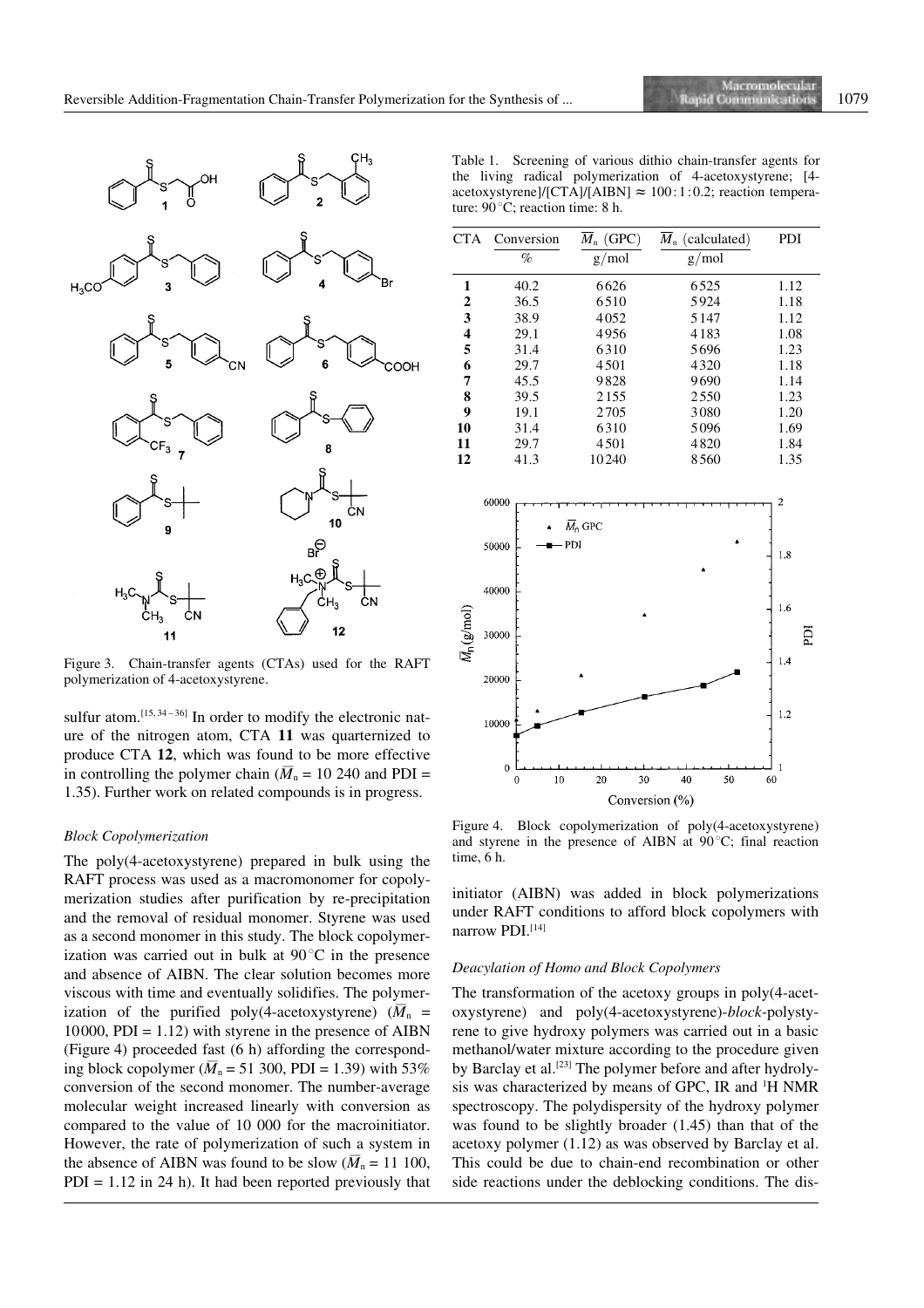

Figure 3. Chain-transfer agents (CTAs) used for the RAFT polymerization of 4-acetoxystyrene.

sulfur atom.<sup>[15, 34-36]</sup> In order to modify the electronic nature of the nitrogen atom, CTA 11 was quarternized to produce CTA 12, which was found to be more effective in controlling the polymer chain  $(\overline{M}_n = 10\,240$  and PDI = 1.35). Further work on related compounds is in progress.

#### Block Copolymerization

The poly(4-acetoxystyrene) prepared in bulk using the RAFT process was used as a macromonomer for copolymerization studies after purification by re-precipitation and the removal of residual monomer. Styrene was used as a second monomer in this study. The block copolymerization was carried out in bulk at  $90^{\circ}$ C in the presence and absence of AIBN. The clear solution becomes more viscous with time and eventually solidifies. The polymerization of the purified poly(4-acetoxystyrene)  $(\overline{M}_n =$ 10000, PDI =  $1.12$ ) with styrene in the presence of AIBN (Figure 4) proceeded fast (6 h) affording the corresponding block copolymer  $(\overline{M}_n = 51\,300, \text{PDI} = 1.39)$  with 53% conversion of the second monomer. The number-average molecular weight increased linearly with conversion as compared to the value of 10 000 for the macroinitiator. However, the rate of polymerization of such a system in the absence of AIBN was found to be slow  $(\overline{M}_n = 11 \text{ 100})$ ,  $PDI = 1.12$  in 24 h). It had been reported previously that

Table 1. Screening of various dithio chain-transfer agents for the living radical polymerization of 4-acetoxystyrene; [4 acetoxystyrene]/[CTA]/[AIBN]  $\approx 100:1:0.2$ ; reaction temperature:  $90^{\circ}$ C; reaction time: 8 h.

| CTA                                             | Conversion                                         | $\overline{M}_n$ (GPC)      | $\overline{M}_n$ (calculated) | PDI                                             |
|-------------------------------------------------|----------------------------------------------------|-----------------------------|-------------------------------|-------------------------------------------------|
|                                                 | $\%$                                               | g/mol                       | g/mol                         |                                                 |
| $\mathbf{1}$                                    | 40.2                                               | 6626                        | 6525                          | 1.12                                            |
|                                                 | 36.5                                               | 6510                        | 5924                          | 1.18                                            |
|                                                 | 38.9                                               | 4052                        | 5147                          | 1.12                                            |
| $\begin{array}{c} 2 \\ 3 \\ 4 \\ 5 \end{array}$ | 29.1                                               | 4956                        | 4183                          | 1.08                                            |
|                                                 | 31.4                                               | 6310                        | 5696                          | 1.23                                            |
| 6                                               | 29.7                                               | 4501                        | 4320                          | 1.18                                            |
| 7                                               | 45.5                                               | 9828                        | 9690                          | 1.14                                            |
| 8                                               | 39.5                                               | 2155                        | 2550                          | 1.23                                            |
| $\overline{9}$                                  | 19.1                                               | 2705                        | 3080                          | 1.20                                            |
| 10                                              | 31.4                                               | 6310                        | 5096                          | 1.69                                            |
| 11                                              | 29.7                                               | 4501                        | 4820                          | 1.84                                            |
| 12                                              | 41.3                                               | 10240                       | 8560                          | 1.35                                            |
| $\bar{M}_\text{p}(\text{g/mol})$                | 60000<br>50000<br>40000<br>30000<br>20000<br>10000 | $\overline{M}_n$ GPC<br>PDI |                               | $\overline{c}$<br>1.8<br>1.6<br>Ë<br>1.4<br>1.2 |
|                                                 | $\boldsymbol{0}$<br>10<br>0                        | 20<br>30                    | 40<br>50                      | 1<br>60                                         |
|                                                 |                                                    | Conversion (%)              |                               |                                                 |

Figure 4. Block copolymerization of poly(4-acetoxystyrene) and styrene in the presence of AIBN at  $90^{\circ}$ C; final reaction time, 6 h.

initiator (AIBN) was added in block polymerizations under RAFT conditions to afford block copolymers with narrow PDI.<sup>[14]</sup>

#### Deacylation of Homo and Block Copolymers

The transformation of the acetoxy groups in poly(4-acetoxystyrene) and poly(4-acetoxystyrene)-block-polystyrene to give hydroxy polymers was carried out in a basic methanol/water mixture according to the procedure given by Barclay et al.<sup>[23]</sup> The polymer before and after hydrolysis was characterized by means of GPC, IR and <sup>1</sup>H NMR spectroscopy. The polydispersity of the hydroxy polymer was found to be slightly broader (1.45) than that of the acetoxy polymer (1.12) as was observed by Barclay et al. This could be due to chain-end recombination or other side reactions under the deblocking conditions. The dis